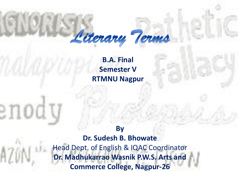

**B.A. Final Semester V RTMNU Nagpur**

**By Dr. Sudesh B. Bhowate** Head Dept. of English & IQAC Coordinator **Dr. Madhukarrao Wasnik P.W.S. Arts and Commerce College, Nagpur-26**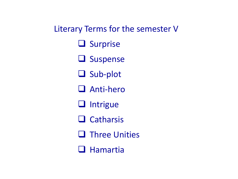Literary Terms for the semester V

**Q** Surprise

**Q** Suspense

□ Sub-plot

**Q** Anti-hero

 $\Box$  Intrigue

 $\Box$  Catharsis

 $\Box$  Three Unities

 $\Box$  Hamartia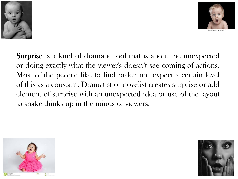



Surprise is a kind of dramatic tool that is about the unexpected or doing exactly what the viewer's doesn't see coming of actions. Most of the people like to find order and expect a certain level of this as a constant. Dramatist or novelist creates surprise or add element of surprise with an unexpected idea or use of the layout to shake thinks up in the minds of viewers.



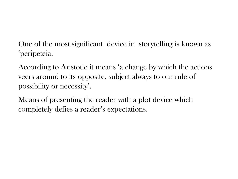One of the most significant device in storytelling is known as 'peripeteia.

According to Aristotle it means 'a change by which the actions veers around to its opposite, subject always to our rule of possibility or necessity'.

Means of presenting the reader with a plot device which completely defies a reader's expectations.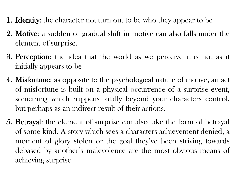- **1. Identity:** the character not turn out to be who they appear to be
- 2. Motive: a sudden or gradual shift in motive can also falls under the element of surprise.
- 3. Perception: the idea that the world as we perceive it is not as it initially appears to be
- 4. Misfortune: as opposite to the psychological nature of motive, an act of misfortune is built on a physical occurrence of a surprise event, something which happens totally beyond your characters control, but perhaps as an indirect result of their actions.
- 5. Betrayal: the element of surprise can also take the form of betrayal of some kind. A story which sees a characters achievement denied, a moment of glory stolen or the goal they've been striving towards debased by another's malevolence are the most obvious means of achieving surprise.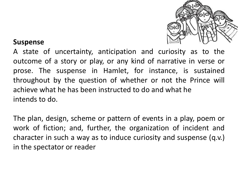

#### **Suspense**

A state of uncertainty, anticipation and curiosity as to the outcome of a story or play, or any kind of narrative in verse or prose. The suspense in Hamlet, for instance, is sustained throughout by the question of whether or not the Prince will achieve what he has been instructed to do and what he intends to do.

The plan, design, scheme or pattern of events in a play, poem or work of fiction; and, further, the organization of incident and character in such a way as to induce curiosity and suspense (q.v.) in the spectator or reader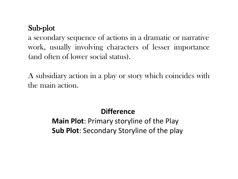# Sub-plot

a secondary sequence of actions in a dramatic or narrative work, usually involving characters of lesser importance (and often of lower social status).

A subsidiary action in a play or story which coincides with the main action.

## **Difference**

**Main Plot**: Primary storyline of the Play **Sub Plot**: Secondary Storyline of the play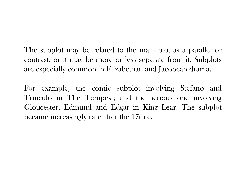The subplot may be related to the main plot as a parallel or contrast, or it may be more or less separate from it. Subplots are especially common in Elizabethan and Jacobean drama.

For example, the comic subplot involving Stefano and Trinculo in The Tempest; and the serious one involving Gloucester, Edmund and Edgar in King Lear. The subplot became increasingly rare after the 17th c.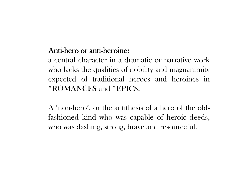## Anti-hero or anti-heroine:

a central character in a dramatic or narrative work who lacks the qualities of nobility and magnanimity expected of traditional heroes and heroines in \*ROMANCES and \*EPICS.

A 'non-hero', or the antithesis of a hero of the oldfashioned kind who was capable of heroic deeds, who was dashing, strong, brave and resourceful.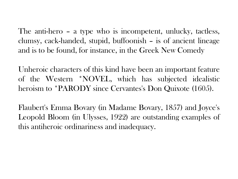The anti-hero – a type who is incompetent, unlucky, tactless, clumsy, cack-handed, stupid, buffoonish – is of ancient lineage and is to be found, for instance, in the Greek New Comedy

Unheroic characters of this kind have been an important feature of the Western \*NOVEL, which has subjected idealistic heroism to \*PARODY since Cervantes's Don Quixote (1605).

Flaubert's Emma Bovary (in Madame Bovary, 1857) and Joyce's Leopold Bloom (in Ulysses, 1922) are outstanding examples of this antiheroic ordinariness and inadequacy.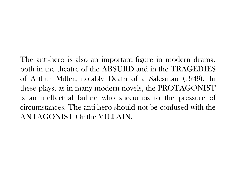The anti-hero is also an important figure in modern drama, both in the theatre of the ABSURD and in the TRAGEDIES of Arthur Miller, notably Death of a Salesman (1949). In these plays, as in many modern novels, the PROTAGONIST is an ineffectual failure who succumbs to the pressure of circumstances. The anti-hero should not be confused with the ANTAGONIST Or the VILLAIN.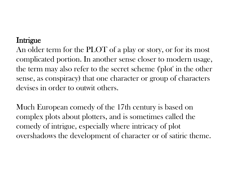### Intrigue

An older term for the PLOT of a play or story, or for its most complicated portion. In another sense closer to modern usage, the term may also refer to the secret scheme ('plot' in the other sense, as conspiracy) that one character or group of characters devises in order to outwit others.

Much European comedy of the 17th century is based on complex plots about plotters, and is sometimes called the comedy of intrigue, especially where intricacy of plot overshadows the development of character or of satiric theme.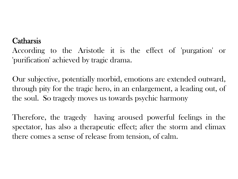### **Catharsis**

According to the Aristotle it is the effect of 'purgation' or 'purification' achieved by tragic drama.

Our subjective, potentially morbid, emotions are extended outward, through pity for the tragic hero, in an enlargement, a leading out, of the soul. So tragedy moves us towards psychic harmony

Therefore, the tragedy having aroused powerful feelings in the spectator, has also a therapeutic effect; after the storm and climax there comes a sense of release from tension, of calm.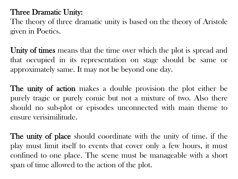## Three Dramatic Unity:

The theory of three dramatic unity is based on the theory of Aristole given in Poetics.

Unity of times means that the time over which the plot is spread and that occupied in its representation on stage should be same or approximately same. It may not be beyond one day.

The unity of action makes a double provision the plot either be purely tragic or purely comic but not a mixture of two. Also there should no sub-plot or episodes unconnected with main theme to ensure verisimilitude.

The unity of place should coordinate with the unity of time. if the play must limit itself to events that cover only a few hours, it must confined to one place. The scene must be manageable with a short span of time allowed to the action of the plot.